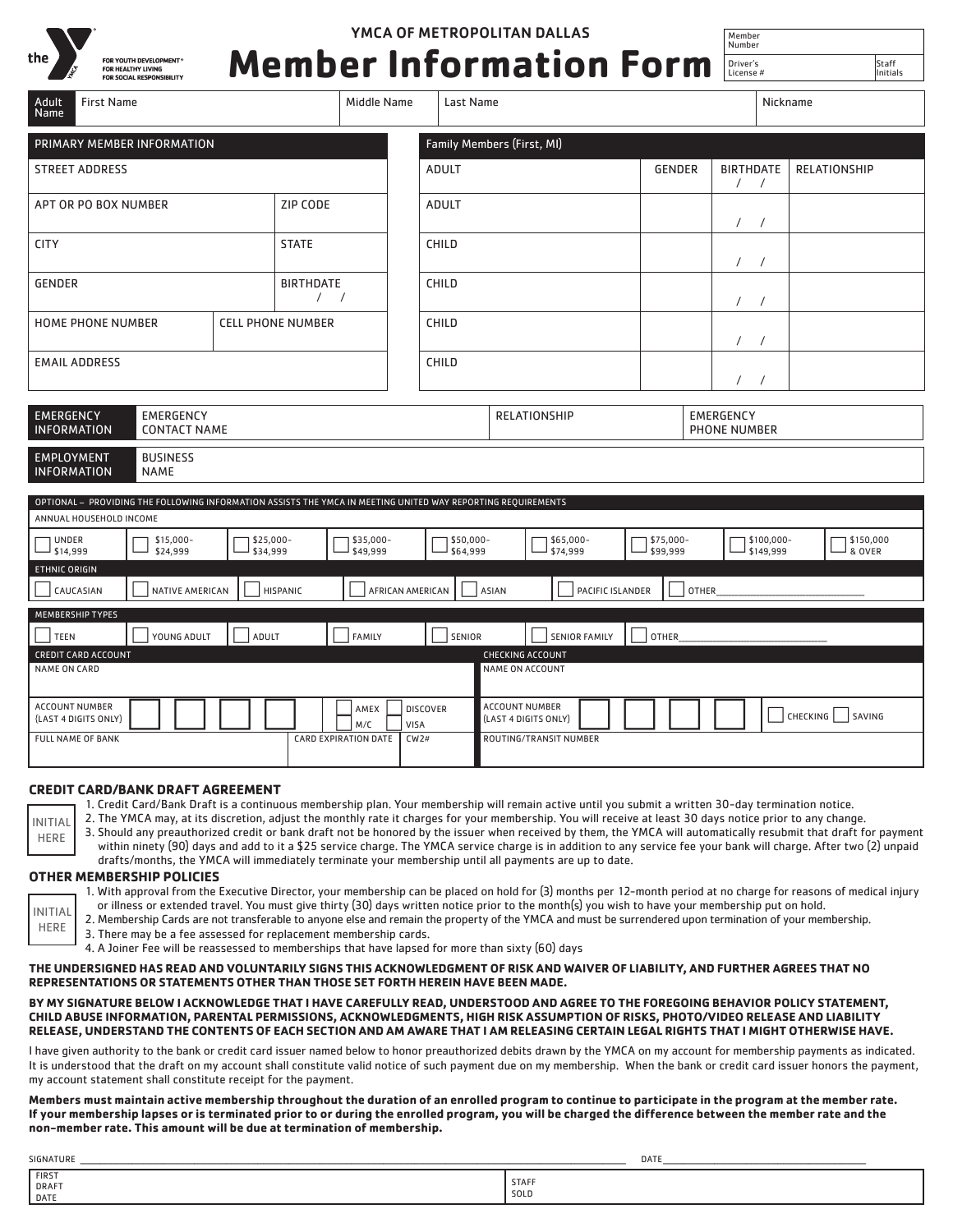

# YMCA OF METROPOLITAN DALLAS

# Driver's<br>License **Member Information Form**

| 4 | Staft<br>Initia |
|---|-----------------|

Member Number

| Adult<br><b>First Name</b><br>Name                                                                                                      |                                      | Middle Name                                             | Last Name               |                                               | Nickname              |                       |                                      |                         |                           |
|-----------------------------------------------------------------------------------------------------------------------------------------|--------------------------------------|---------------------------------------------------------|-------------------------|-----------------------------------------------|-----------------------|-----------------------|--------------------------------------|-------------------------|---------------------------|
| Family Members (First, MI)<br>PRIMARY MEMBER INFORMATION                                                                                |                                      |                                                         |                         |                                               |                       |                       |                                      |                         |                           |
| <b>STREET ADDRESS</b>                                                                                                                   |                                      |                                                         | <b>ADULT</b>            |                                               |                       | <b>GENDER</b>         | <b>BIRTHDATE</b><br>$\left  \right $ |                         | <b>RELATIONSHIP</b>       |
| ZIP CODE<br>APT OR PO BOX NUMBER                                                                                                        |                                      |                                                         | <b>ADULT</b>            |                                               |                       |                       | $\prime$                             | $\prime$                |                           |
| <b>STATE</b><br><b>CITY</b>                                                                                                             |                                      |                                                         | CHILD                   |                                               |                       |                       | $\sqrt{2}$                           | $\prime$                |                           |
| <b>GENDER</b>                                                                                                                           | <b>BIRTHDATE</b><br>$\left  \right $ |                                                         | CHILD                   |                                               |                       |                       | $\prime$                             |                         |                           |
| <b>HOME PHONE NUMBER</b>                                                                                                                | <b>CELL PHONE NUMBER</b>             |                                                         | CHILD                   |                                               |                       |                       | $\prime$                             | $\prime$                |                           |
| <b>EMAIL ADDRESS</b>                                                                                                                    |                                      |                                                         | <b>CHILD</b>            |                                               |                       |                       | $\prime$                             |                         |                           |
| <b>EMERGENCY</b><br><b>EMERGENCY</b><br><b>INFORMATION</b><br><b>CONTACT NAME</b>                                                       |                                      | <b>RELATIONSHIP</b><br>EMERGENCY<br><b>PHONE NUMBER</b> |                         |                                               |                       |                       |                                      |                         |                           |
| <b>EMPLOYMENT</b><br><b>BUSINESS</b><br><b>INFORMATION</b><br><b>NAME</b>                                                               |                                      |                                                         |                         |                                               |                       |                       |                                      |                         |                           |
| OPTIONAL - PROVIDING THE FOLLOWING INFORMATION ASSISTS THE YMCA IN MEETING UNITED WAY REPORTING REQUIREMENTS<br>ANNUAL HOUSEHOLD INCOME |                                      |                                                         |                         |                                               |                       |                       |                                      |                         |                           |
| <b>UNDER</b><br>\$15,000-<br>\$14,999<br>\$24,999                                                                                       | \$25,000-<br>\$34,999                | \$35,000-<br>\$49,999                                   | \$50,000-<br>\$64,999   |                                               | \$65,000-<br>\$74,999 | \$75,000-<br>\$99,999 |                                      | \$100,000-<br>\$149,999 | \$150,000<br>& OVER       |
| ETHNIC ORIGIN<br>CAUCASIAN<br>NATIVE AMERICAN<br>HISPANIC<br>AFRICAN AMERICAN<br><b>ASIAN</b><br>PACIFIC ISLANDER<br><b>OTHER</b>       |                                      |                                                         |                         |                                               |                       |                       |                                      |                         |                           |
| MEMBERSHIP TYPES<br>YOUNG ADULT<br><b>TEEN</b>                                                                                          | ADULT                                | <b>FAMILY</b>                                           | SENIOR                  |                                               | <b>SENIOR FAMILY</b>  | OTHER                 |                                      |                         |                           |
| <b>CREDIT CARD ACCOUNT</b><br><b>CHECKING ACCOUNT</b><br>NAME ON ACCOUNT<br>NAME ON CARD                                                |                                      |                                                         |                         |                                               |                       |                       |                                      |                         |                           |
| <b>ACCOUNT NUMBER</b><br>{LAST 4 DIGITS ONLY)                                                                                           |                                      | AMEX<br>M/C                                             | <b>DISCOVER</b><br>VISA | <b>ACCOUNT NUMBER</b><br>(LAST 4 DIGITS ONLY) |                       |                       |                                      |                         | CHECKING<br><b>SAVING</b> |
| CW2#<br>ROUTING/TRANSIT NUMBER<br><b>FULL NAME OF BANK</b><br><b>CARD EXPIRATION DATE</b>                                               |                                      |                                                         |                         |                                               |                       |                       |                                      |                         |                           |

#### **CREDIT CARD/BANK DRAFT AGREEMENT**

| 1. Credit Card/Bank Draft is a continuous membership plan. Your membership will remain active until you submit a written 30-day termination notice. |  |  |  |
|-----------------------------------------------------------------------------------------------------------------------------------------------------|--|--|--|
|                                                                                                                                                     |  |  |  |

2. The YMCA may, at its discretion, adjust the monthly rate it charges for your membership. You will receive at least 30 days notice prior to any change. INITIAL

3. Should any preauthorized credit or bank draft not be honored by the issuer when received by them, the YMCA will automatically resubmit that draft for payment within ninety (90) days and add to it a \$25 service charge. The YMCA service charge is in addition to any service fee your bank will charge. After two (2) unpaid drafts/months, the YMCA will immediately terminate your membership until all payments are up to date.

#### **OTHER MEMBERSHIP POLICIES**

HERE

INITIAL HERE

1. With approval from the Executive Director, your membership can be placed on hold for (3) months per 12-month period at no charge for reasons of medical injury or illness or extended travel. You must give thirty (30) days written notice prior to the month(s) you wish to have your membership put on hold.

2. Membership Cards are not transferable to anyone else and remain the property of the YMCA and must be surrendered upon termination of your membership.

3. There may be a fee assessed for replacement membership cards.

4. A Joiner Fee will be reassessed to memberships that have lapsed for more than sixty (60) days

**THE UNDERSIGNED HAS READ AND VOLUNTARILY SIGNS THIS ACKNOWLEDGMENT OF RISK AND WAIVER OF LIABILITY, AND FURTHER AGREES THAT NO REPRESENTATIONS OR STATEMENTS OTHER THAN THOSE SET FORTH HEREIN HAVE BEEN MADE.** 

### **BY MY SIGNATURE BELOW I ACKNOWLEDGE THAT I HAVE CAREFULLY READ, UNDERSTOOD AND AGREE TO THE FOREGOING BEHAVIOR POLICY STATEMENT, CHILD ABUSE INFORMATION, PARENTAL PERMISSIONS, ACKNOWLEDGMENTS, HIGH RISK ASSUMPTION OF RISKS, PHOTO/VIDEO RELEASE AND LIABILITY RELEASE, UNDERSTAND THE CONTENTS OF EACH SECTION AND AM AWARE THAT I AM RELEASING CERTAIN LEGAL RIGHTS THAT I MIGHT OTHERWISE HAVE.**

I have given authority to the bank or credit card issuer named below to honor preauthorized debits drawn by the YMCA on my account for membership payments as indicated. It is understood that the draft on my account shall constitute valid notice of such payment due on my membership. When the bank or credit card issuer honors the payment, my account statement shall constitute receipt for the payment.

**Members must maintain active membership throughout the duration of an enrolled program to continue to participate in the program at the member rate. If your membership lapses or is terminated prior to or during the enrolled program, you will be charged the difference between the member rate and the non-member rate. This amount will be due at termination of membership.**

| SIGNATURE              |                      | DATI |  |
|------------------------|----------------------|------|--|
| FIRST<br>DRAFT<br>DATE | <b>STAFF</b><br>SOLD |      |  |